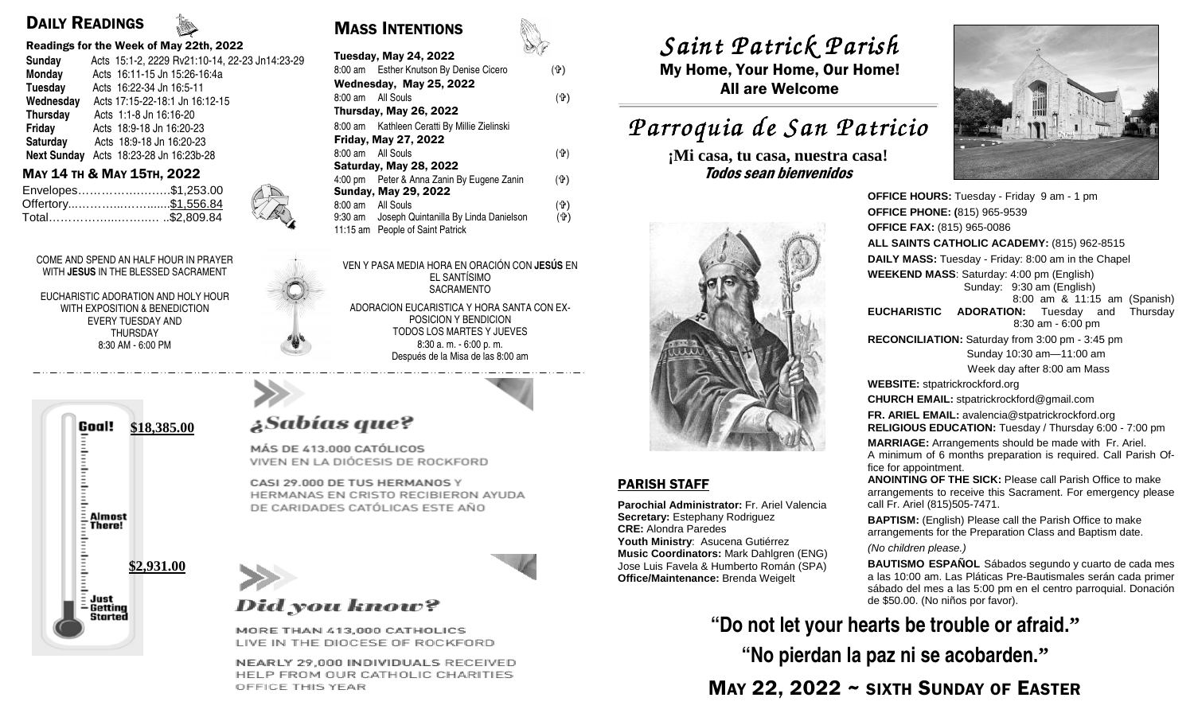### DAILY READINGS

### Readings for the Week of May 22th, 2022

| <b>Sunday</b>   | Acts 15:1-2, 2229 Rv21:10-14, 22-23 Jn14:23-29 |
|-----------------|------------------------------------------------|
| Monday          | Acts 16:11-15 Jn 15:26-16:4a                   |
| Tuesday         | Acts 16:22-34 Jn 16:5-11                       |
| Wednesday       | Acts 17:15-22-18:1 Jn 16:12-15                 |
| <b>Thursday</b> | Acts 1:1-8 Jn 16:16-20                         |
| Friday          | Acts 18:9-18 Jn 16:20-23                       |
| Saturday        | Acts 18:9-18 Jn 16:20-23                       |
|                 | Next Sunday Acts 18:23-28 Jn 16:23b-28         |
|                 |                                                |

| Envelopes\$1,253.00  |  |
|----------------------|--|
| Offertory \$1,556.84 |  |
| Total\$2,809.84      |  |

COME AND SPEND AN HALF HOUR IN PRAYER WITH **JESUS** IN THE BLESSED SACRAMENT

EUCHARISTIC ADORATION AND HOLY HOUR WITH EXPOSITION & BENEDICTION EVERY TUESDAY AND THURSDAY 8:30 AM - 6:00 PM



# MASS INTENTIONS

| Acts 15:1-2, 2229 Rv21:10-14, 22-23 Jn14:23-29<br><b>Sunday</b><br>Monday<br>Acts 16:11-15 Jn 15:26-16:4a<br>Acts 16:22-34 Jn 16:5-11<br>Tuesday | $\sim$ 48<br><b>Tuesday, May 24, 2022</b><br>8:00 am Esther Knutson By Denise Cicero<br>(宁)<br>Wednesday, May 25, 2022<br>$($ tr $)$<br>8:00 am All Souls | $U$ weier $\pm$ wei een $\pm$ w<br>My Home, Your Home, Our<br><b>All are Welcome</b> |
|--------------------------------------------------------------------------------------------------------------------------------------------------|-----------------------------------------------------------------------------------------------------------------------------------------------------------|--------------------------------------------------------------------------------------|
| Wednesday<br>Acts 17:15-22-18:1 Jn 16:12-15<br>Thursday<br>Acts 1:1-8 Jn 16:16-20                                                                | Thursday, May 26, 2022                                                                                                                                    |                                                                                      |
| Friday<br>Acts 18:9-18 Jn 16:20-23                                                                                                               | 8:00 am Kathleen Ceratti By Millie Zielinski                                                                                                              | Parroquia de San P                                                                   |
| Saturday<br>Acts 18:9-18 Jn 16:20-23<br>Acts 18:23-28 Jn 16:23b-28<br><b>Next Sunday</b>                                                         | <b>Friday, May 27, 2022</b><br>$($ tr $)$<br>8:00 am All Souls                                                                                            | ¡Mi casa, tu casa, nuestra                                                           |
| MAY 14 TH & MAY 15TH, 2022<br>Envelopes\$1,253.00                                                                                                | Saturday, May 28, 2022<br>4:00 pm Peter & Anna Zanin By Eugene Zanin<br>$($ $\Phi$ )<br><b>Sunday, May 29, 2022</b>                                       | Todos sean bienvenidos                                                               |
| $\frac{1}{2}$<br>Total\$2,809.84                                                                                                                 | $(\Phi)$<br>8:00 am All Souls<br>9:30 am Joseph Quintanilla By Linda Danielson<br>(유)<br>11:15 am People of Saint Patrick                                 |                                                                                      |

VEN Y PASA MEDIA HORA EN ORACIÓN CON **JESÚS** EN EL SANTÍSIMO SACRAMENTO

ADORACION EUCARISTICA Y HORA SANTA CON EX-POSICION Y BENDICION TODOS LOS MARTES Y JUEVES 8:30 a. m. - 6:00 p. m. Después de la Misa de las 8:00 am

# ¿Sabías que?

MÁS DE 413.000 CATÓLICOS VIVEN EN LA DIÓCESIS DE ROCKFORD

CASI 29.000 DE TUS HERMANOS Y HERMANAS EN CRISTO RECIBIERON AYUDA DE CARIDADES CATÓLICAS ESTE AÑO



## **Did you know?**

MORE THAN 413,000 CATHOLICS LIVE IN THE DIOCESE OF ROCKFORD

NEARLY 29,000 INDIVIDUALS RECEIVED HELP FROM OUR CATHOLIC CHARITIES OFFICE THIS YEAR

*Saint Patrick Parish Saint Parish*

 My Home, Your Home, Our Home! All are Welcome

# *Parroquia de San Patricio San Patricio*

**¡Mi casa, tu casa, nuestra casa!** 



### PARISH STAFF

**Parochial Administrator:** Fr. Ariel Valencia **Secretary:** Estephany Rodriguez **CRE:** Alondra Paredes **Youth Ministry**: Asucena Gutiérrez

 **Music Coordinators:** Mark Dahlgren (ENG) Jose Luis Favela & Humberto Román (SPA) **Office/Maintenance:** Brenda Weigelt



**OFFICE PHONE: (**815) 965-9539**OFFICE FAX:** (815) 965-0086 **ALL SAINTS CATHOLIC ACADEMY:** (815) 962-8515 **DAILY MASS:** Tuesday - Friday: 8:00 am in the Chapel**WEEKEND MASS**: Saturday: 4:00 pm (English) Sunday: 9:30 am (English) 8:00 am & 11:15 am (Spanish) **EUCHARISTIC ADORATION:** Tuesday and Thursday 8:30 am - 6:00 pm **RECONCILIATION:** Saturday from 3:00 pm - 3:45 pm Sunday 10:30 am—11:00 am Week day after 8:00 am Mass**WEBSITE:** stpatrickrockford.org **CHURCH EMAIL:** stpatrickrockford@gmail.com **FR. ARIEL EMAIL:** avalencia@stpatrickrockford.org **RELIGIOUS EDUCATION:** Tuesday / Thursday 6:00 - 7:00 pm**MARRIAGE:** Arrangements should be made with Fr. Ariel. A minimum of 6 months preparation is required. Call Parish Office for appointment. **ANOINTING OF THE SICK:** Please call Parish Office to make arrangements to receive this Sacrament. For emergency please call Fr. Ariel (815)505-7471.**BAPTISM:** (English) Please call the Parish Office to make arrangements for the Preparation Class and Baptism date. (No children please.)**BAUTISMO ESPAÑOL** Sábados segundo y cuarto de cada mes a las 10:00 am. Las Pláticas Pre-Bautismales serán cada primer sábado del mes a las 5:00 pm en el centro parroquial. Donación de \$50.00. (No niños por favor).

**"Do not let your hearts be trouble or afraid."** 

**"No pierdan la paz ni se acobarden."**

MAY 22, 2022 ~ SIXTH SUNDAY OF EASTER